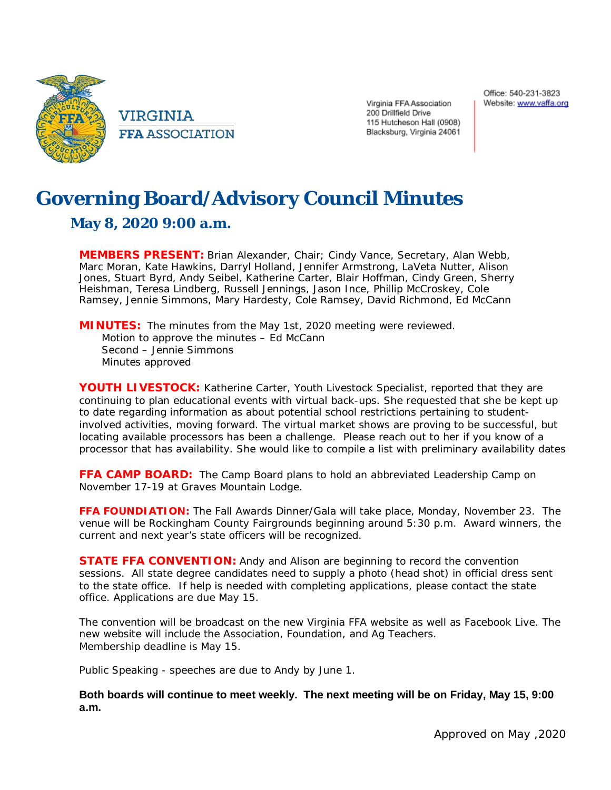

Virginia FFA Association 200 Drillfield Drive 115 Hutcheson Hall (0908) Blacksburg, Virginia 24061

## **Governing Board/Advisory Council Minutes**

## **May 8, 2020 9:00 a.m.**

**MEMBERS PRESENT:** Brian Alexander, Chair; Cindy Vance, Secretary, Alan Webb, Marc Moran, Kate Hawkins, Darryl Holland, Jennifer Armstrong, LaVeta Nutter, Alison Jones, Stuart Byrd, Andy Seibel, Katherine Carter, Blair Hoffman, Cindy Green, Sherry Heishman, Teresa Lindberg, Russell Jennings, Jason Ince, Phillip McCroskey, Cole Ramsey, Jennie Simmons, Mary Hardesty, Cole Ramsey, David Richmond, Ed McCann

**MINUTES:** The minutes from the May 1st, 2020 meeting were reviewed. Motion to approve the minutes – Ed McCann Second – Jennie Simmons Minutes approved

**YOUTH LIVESTOCK:** Katherine Carter, Youth Livestock Specialist, reported that they are continuing to plan educational events with virtual back-ups. She requested that she be kept up to date regarding information as about potential school restrictions pertaining to studentinvolved activities, moving forward. The virtual market shows are proving to be successful, but locating available processors has been a challenge. Please reach out to her if you know of a processor that has availability. She would like to compile a list with preliminary availability dates

**FFA CAMP BOARD:** The Camp Board plans to hold an abbreviated Leadership Camp on November 17-19 at Graves Mountain Lodge.

**FFA FOUNDIATION:** The Fall Awards Dinner/Gala will take place, Monday, November 23. The venue will be Rockingham County Fairgrounds beginning around 5:30 p.m. Award winners, the current and next year's state officers will be recognized.

**STATE FFA CONVENTION:** Andy and Alison are beginning to record the convention sessions. All state degree candidates need to supply a photo (head shot) in official dress sent to the state office. If help is needed with completing applications, please contact the state office. Applications are due May 15.

The convention will be broadcast on the new Virginia FFA website as well as Facebook Live. The new website will include the Association, Foundation, and Ag Teachers. Membership deadline is May 15.

Public Speaking - speeches are due to Andy by June 1.

## **Both boards will continue to meet weekly. The next meeting will be on Friday, May 15, 9:00 a.m.**